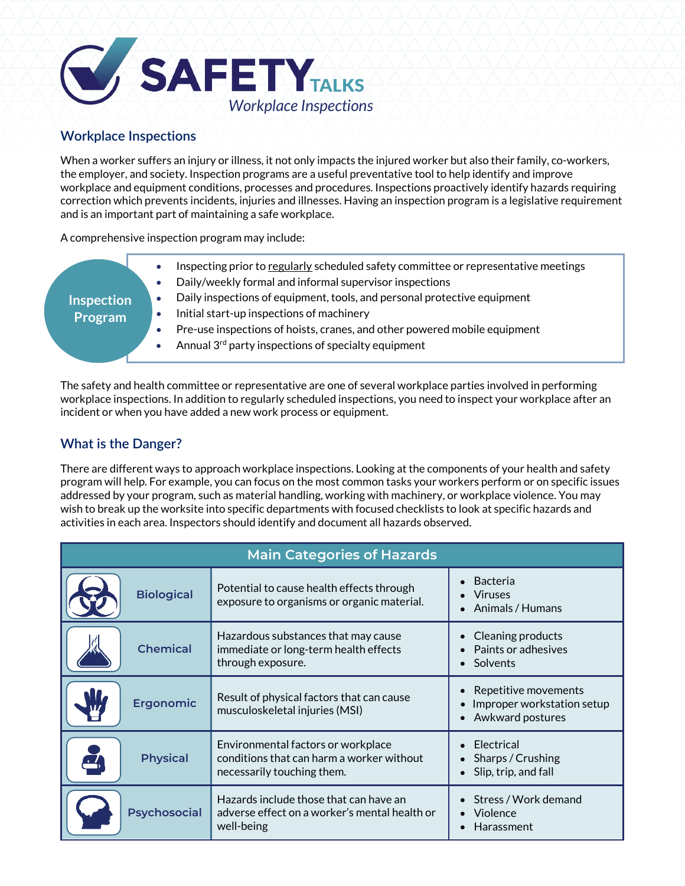

## **Workplace Inspections**

When a worker suffers an injury or illness, it not only impacts the injured worker but also their family, co-workers, the employer, and society. Inspection programs are a useful preventative tool to help identify and improve workplace and equipment conditions, processes and procedures. Inspections proactively identify hazards requiring correction which prevents incidents, injuries and illnesses. Having an inspection program is a legislative requirement and is an important part of maintaining a safe workplace.

A comprehensive inspection program may include:

| <b>Inspection</b><br>Program | Inspecting prior to regularly scheduled safety committee or representative meetings<br>Daily/weekly formal and informal supervisor inspections<br>Daily inspections of equipment, tools, and personal protective equipment<br>Initial start-up inspections of machinery<br>Pre-use inspections of hoists, cranes, and other powered mobile equipment<br>Annual 3 <sup>rd</sup> party inspections of specialty equipment |
|------------------------------|-------------------------------------------------------------------------------------------------------------------------------------------------------------------------------------------------------------------------------------------------------------------------------------------------------------------------------------------------------------------------------------------------------------------------|
|                              |                                                                                                                                                                                                                                                                                                                                                                                                                         |

The safety and health committee or representative are one of several workplace parties involved in performing workplace inspections. In addition to regularly scheduled inspections, you need to inspect your workplace after an incident or when you have added a new work process or equipment.

## **What is the Danger?**

There are different ways to approach workplace inspections. Looking at the components of your health and safety program will help. For example, you can focus on the most common tasks your workers perform or on specific issues addressed by your program, such as material handling, working with machinery, or workplace violence. You may wish to break up the worksite into specific departments with focused checklists to look at specific hazards and activities in each area. Inspectors should identify and document all hazards observed.

| <b>Main Categories of Hazards</b> |                                                                                                               |                                                                        |  |  |  |  |
|-----------------------------------|---------------------------------------------------------------------------------------------------------------|------------------------------------------------------------------------|--|--|--|--|
| <b>Biological</b>                 | Potential to cause health effects through<br>exposure to organisms or organic material.                       | Bacteria<br><b>Viruses</b><br>Animals / Humans                         |  |  |  |  |
| <b>Chemical</b>                   | Hazardous substances that may cause<br>immediate or long-term health effects<br>through exposure.             | Cleaning products<br>Paints or adhesives<br>Solvents<br>$\bullet$      |  |  |  |  |
| <b>Ergonomic</b>                  | Result of physical factors that can cause<br>musculoskeletal injuries (MSI)                                   | Repetitive movements<br>Improper workstation setup<br>Awkward postures |  |  |  |  |
| <b>Physical</b>                   | Environmental factors or workplace<br>conditions that can harm a worker without<br>necessarily touching them. | Electrical<br>Sharps / Crushing<br>Slip, trip, and fall                |  |  |  |  |
| <b>Psychosocial</b>               | Hazards include those that can have an<br>adverse effect on a worker's mental health or<br>well-being         | Stress / Work demand<br>Violence<br><b>Harassment</b>                  |  |  |  |  |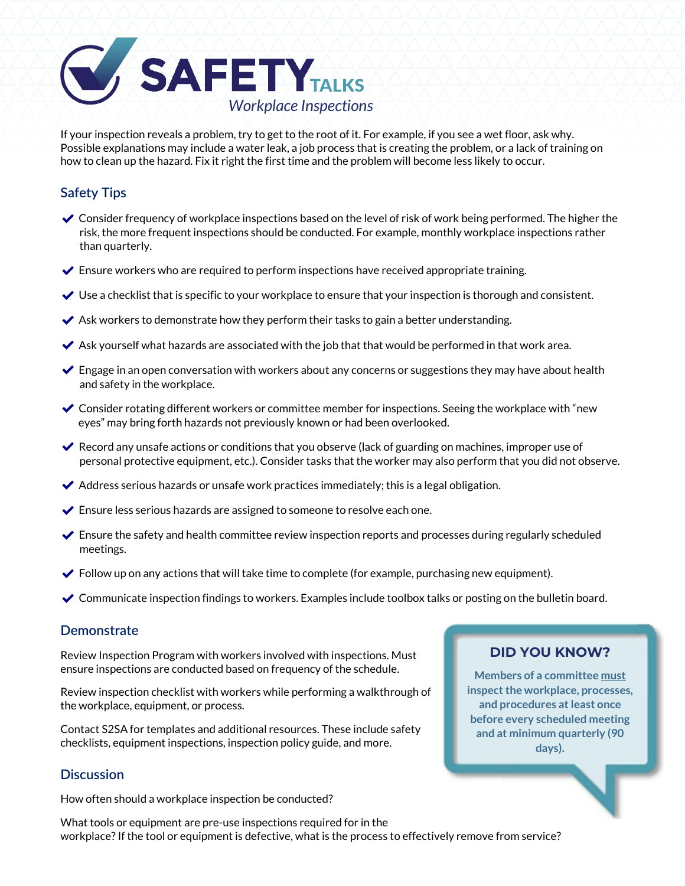

If your inspection reveals a problem, try to get to the root of it. For example, if you see a wet floor, ask why. Possible explanations may include a water leak, a job process that is creating the problem, or a lack of training on how to clean up the hazard. Fix it right the first time and the problem will become less likely to occur.

## **Safety Tips**

- $\triangledown$  Consider frequency of workplace inspections based on the level of risk of work being performed. The higher the risk, the more frequent inspections should be conducted. For example, monthly workplace inspections rather than quarterly.
- $\blacktriangleright$  Ensure workers who are required to perform inspections have received appropriate training.
- $\vee$  Use a checklist that is specific to your workplace to ensure that your inspection is thorough and consistent.
- $\blacktriangleright$  Ask workers to demonstrate how they perform their tasks to gain a better understanding.
- $\blacktriangleright$  Ask yourself what hazards are associated with the job that that would be performed in that work area.
- $\blacktriangleright$  Engage in an open conversation with workers about any concerns or suggestions they may have about health and safety in the workplace.
- $\triangledown$  Consider rotating different workers or committee member for inspections. Seeing the workplace with "new eyes" may bring forth hazards not previously known or had been overlooked.
- $\vee$  Record any unsafe actions or conditions that you observe (lack of guarding on machines, improper use of personal protective equipment, etc.). Consider tasks that the worker may also perform that you did not observe.
- $\blacktriangleright$  Address serious hazards or unsafe work practices immediately; this is a legal obligation.
- $\blacktriangleright$  Ensure less serious hazards are assigned to someone to resolve each one.
- $\blacktriangleright$  Ensure the safety and health committee review inspection reports and processes during regularly scheduled meetings.
- $\blacktriangleright$  Follow up on any actions that will take time to complete (for example, purchasing new equipment).
- $\triangledown$  Communicate inspection findings to workers. Examples include toolbox talks or posting on the bulletin board.

#### **Demonstrate**

Review Inspection Program with workers involved with inspections. Must ensure inspections are conducted based on frequency of the schedule.

Review inspection checklist with workers while performing a walkthrough of the workplace, equipment, or process.

Contact S2SA for templates and additional resources. These include safety checklists, equipment inspections, inspection policy guide, and more.

#### **Discussion**

How often should a workplace inspection be conducted?

### **DID YOU KNOW?**

**Members of a committee must inspect the workplace, processes, and procedures at least once before every scheduled meeting and at minimum quarterly (90 days).**

What tools or equipment are pre-use inspections required for in the workplace? If the tool or equipment is defective, what is the process to effectively remove from service?